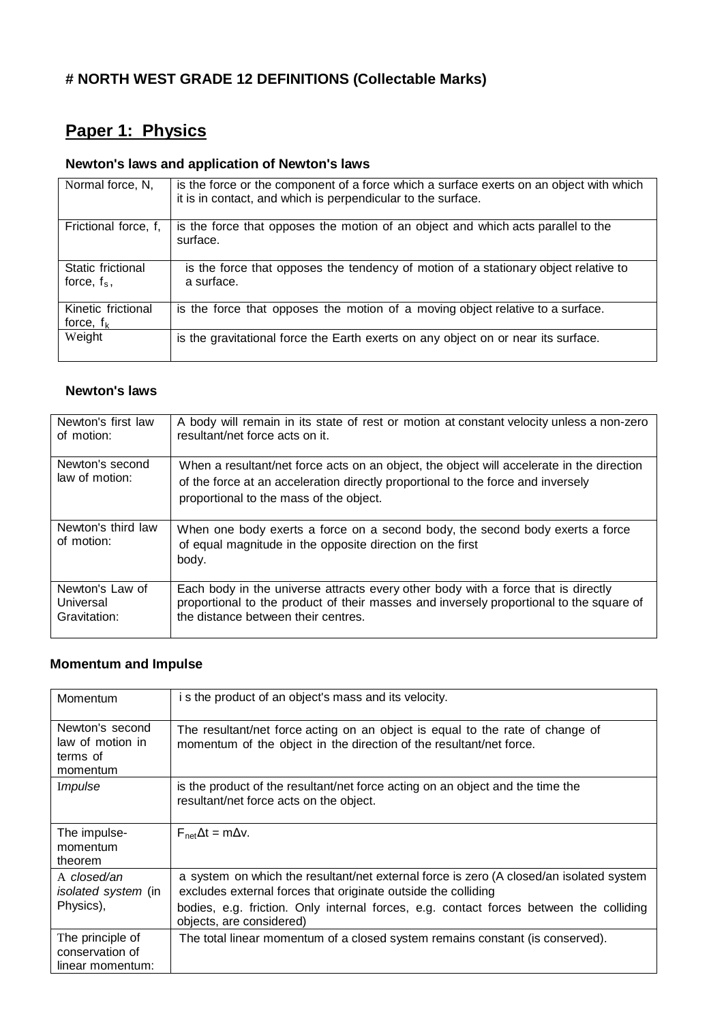# **# NORTH WEST GRADE 12 DEFINITIONS (Collectable Marks)**

# **Paper 1: Physics**

# **Newton's laws and application of Newton's laws**

| Normal force, N,                    | is the force or the component of a force which a surface exerts on an object with which<br>it is in contact, and which is perpendicular to the surface. |
|-------------------------------------|---------------------------------------------------------------------------------------------------------------------------------------------------------|
| Frictional force, f,                | is the force that opposes the motion of an object and which acts parallel to the<br>surface.                                                            |
| Static frictional<br>force, $f_s$ , | is the force that opposes the tendency of motion of a stationary object relative to<br>a surface.                                                       |
| Kinetic frictional<br>force, $f_k$  | is the force that opposes the motion of a moving object relative to a surface.                                                                          |
| Weight                              | is the gravitational force the Earth exerts on any object on or near its surface.                                                                       |

#### **Newton's laws**

| Newton's first law<br>of motion:             | A body will remain in its state of rest or motion at constant velocity unless a non-zero<br>resultant/net force acts on it.                                                                                              |
|----------------------------------------------|--------------------------------------------------------------------------------------------------------------------------------------------------------------------------------------------------------------------------|
| Newton's second<br>law of motion:            | When a resultant/net force acts on an object, the object will accelerate in the direction<br>of the force at an acceleration directly proportional to the force and inversely<br>proportional to the mass of the object. |
| Newton's third law<br>of motion:             | When one body exerts a force on a second body, the second body exerts a force<br>of equal magnitude in the opposite direction on the first<br>body.                                                                      |
| Newton's Law of<br>Universal<br>Gravitation: | Each body in the universe attracts every other body with a force that is directly<br>proportional to the product of their masses and inversely proportional to the square of<br>the distance between their centres.      |

# **Momentum and Impulse**

| Momentum                                                    | is the product of an object's mass and its velocity.                                                                                                     |
|-------------------------------------------------------------|----------------------------------------------------------------------------------------------------------------------------------------------------------|
| Newton's second<br>law of motion in<br>terms of<br>momentum | The resultant/net force acting on an object is equal to the rate of change of<br>momentum of the object in the direction of the resultant/net force.     |
| Impulse                                                     | is the product of the resultant/net force acting on an object and the time the<br>resultant/net force acts on the object.                                |
| The impulse-<br>momentum<br>theorem                         | $F_{\text{net}}\Delta t = m\Delta v$ .                                                                                                                   |
| A closed/an<br><i>isolated system</i> (in                   | a system on which the resultant/net external force is zero (A closed/an isolated system<br>excludes external forces that originate outside the colliding |
| Physics),                                                   | bodies, e.g. friction. Only internal forces, e.g. contact forces between the colliding<br>objects, are considered)                                       |
| The principle of<br>conservation of<br>linear momentum:     | The total linear momentum of a closed system remains constant (is conserved).                                                                            |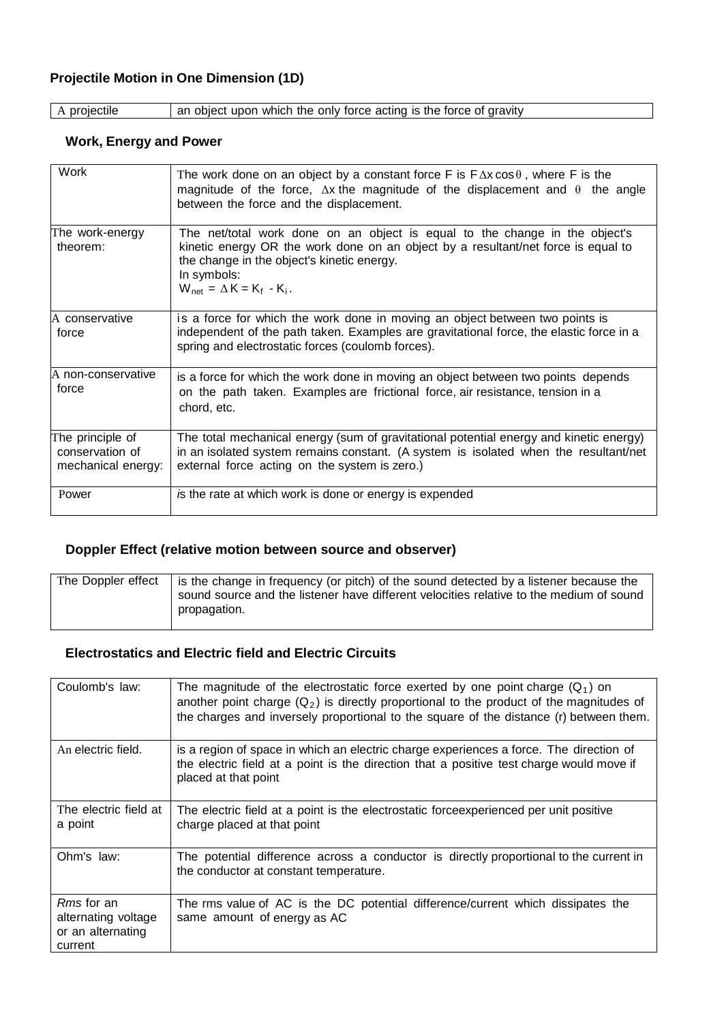### **Projectile Motion in One Dimension (1D)**

A projectile an object upon which the only force acting is the force of gravity

#### **Work, Energy and Power**

| Work                                                      | The work done on an object by a constant force F is $F \Delta x \cos \theta$ , where F is the<br>magnitude of the force, $\Delta x$ the magnitude of the displacement and $\theta$ the angle<br>between the force and the displacement.                                    |  |
|-----------------------------------------------------------|----------------------------------------------------------------------------------------------------------------------------------------------------------------------------------------------------------------------------------------------------------------------------|--|
| The work-energy<br>theorem:                               | The net/total work done on an object is equal to the change in the object's<br>kinetic energy OR the work done on an object by a resultant/net force is equal to<br>the change in the object's kinetic energy.<br>In symbols:<br>$W_{\text{net}} = \Delta K = K_f - K_i$ . |  |
| IA conservative<br>force                                  | is a force for which the work done in moving an object between two points is<br>independent of the path taken. Examples are gravitational force, the elastic force in a<br>spring and electrostatic forces (coulomb forces).                                               |  |
| lA non-conservative<br>force                              | is a force for which the work done in moving an object between two points depends<br>on the path taken. Examples are frictional force, air resistance, tension in a<br>chord, etc.                                                                                         |  |
| The principle of<br>conservation of<br>mechanical energy: | The total mechanical energy (sum of gravitational potential energy and kinetic energy)<br>in an isolated system remains constant. (A system is isolated when the resultant/net<br>external force acting on the system is zero.)                                            |  |
| Power                                                     | is the rate at which work is done or energy is expended                                                                                                                                                                                                                    |  |

#### **Doppler Effect (relative motion between source and observer)**

| The Doppler effect | is the change in frequency (or pitch) of the sound detected by a listener because the   |
|--------------------|-----------------------------------------------------------------------------------------|
|                    | sound source and the listener have different velocities relative to the medium of sound |
|                    | propagation.                                                                            |

#### **Electrostatics and Electric field and Electric Circuits**

| Coulomb's law:                                                           | The magnitude of the electrostatic force exerted by one point charge $(Q_1)$ on<br>another point charge $(Q_2)$ is directly proportional to the product of the magnitudes of<br>the charges and inversely proportional to the square of the distance (r) between them. |
|--------------------------------------------------------------------------|------------------------------------------------------------------------------------------------------------------------------------------------------------------------------------------------------------------------------------------------------------------------|
| An electric field.                                                       | is a region of space in which an electric charge experiences a force. The direction of<br>the electric field at a point is the direction that a positive test charge would move if<br>placed at that point                                                             |
| The electric field at<br>a point                                         | The electric field at a point is the electrostatic forceexperienced per unit positive<br>charge placed at that point                                                                                                                                                   |
| Ohm's law:                                                               | The potential difference across a conductor is directly proportional to the current in<br>the conductor at constant temperature.                                                                                                                                       |
| <i>Rms</i> for an<br>alternating voltage<br>or an alternating<br>current | The rms value of AC is the DC potential difference/current which dissipates the<br>same amount of energy as AC                                                                                                                                                         |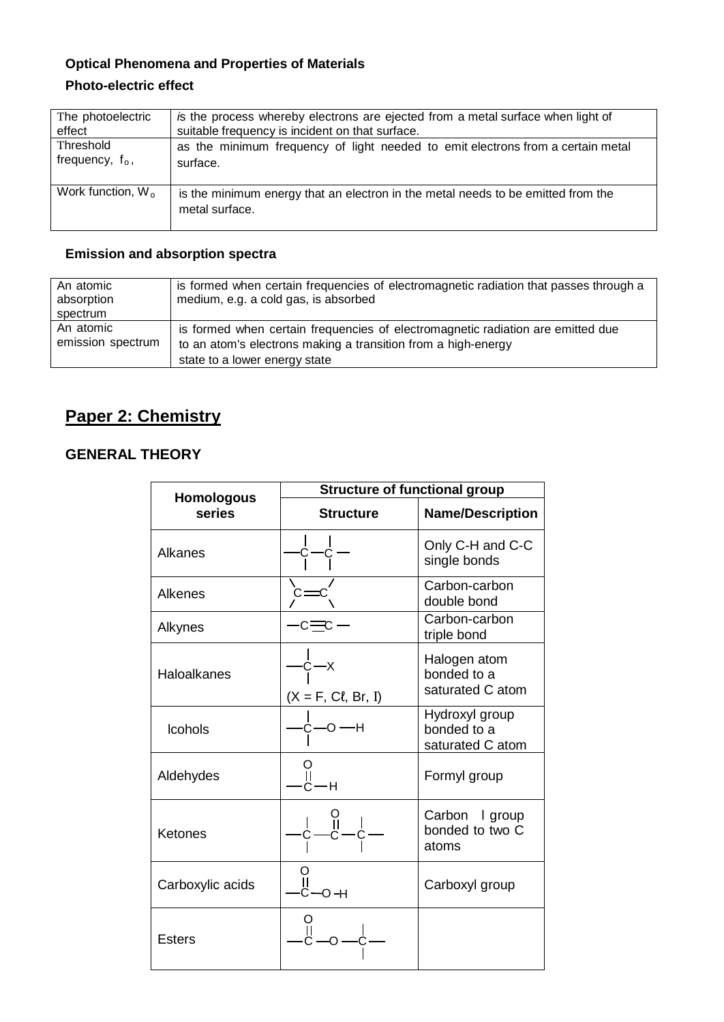## **Optical Phenomena and Properties of Materials Photo-electric effect**

| The photoelectric    | is the process whereby electrons are ejected from a metal surface when light of                    |
|----------------------|----------------------------------------------------------------------------------------------------|
| effect               | suitable frequency is incident on that surface.                                                    |
| Threshold            | as the minimum frequency of light needed to emit electrons from a certain metal                    |
| frequency, $f_0$ ,   | surface.                                                                                           |
| Work function, $W_0$ | is the minimum energy that an electron in the metal needs to be emitted from the<br>metal surface. |

### **Emission and absorption spectra**

| An atomic<br>absorption<br>spectrum | is formed when certain frequencies of electromagnetic radiation that passes through a<br>medium, e.g. a cold gas, is absorbed                                                     |
|-------------------------------------|-----------------------------------------------------------------------------------------------------------------------------------------------------------------------------------|
| An atomic<br>emission spectrum      | is formed when certain frequencies of electromagnetic radiation are emitted due<br>to an atom's electrons making a transition from a high-energy<br>state to a lower energy state |

# **Paper 2: Chemistry**

## **GENERAL THEORY**

| <b>Homologous</b> | <b>Structure of functional group</b> |                                                   |  |
|-------------------|--------------------------------------|---------------------------------------------------|--|
| series            | <b>Structure</b>                     | <b>Name/Description</b>                           |  |
| Alkanes           |                                      | Only C-H and C-C<br>single bonds                  |  |
| Alkenes           |                                      | Carbon-carbon<br>double bond                      |  |
| Alkynes           |                                      | Carbon-carbon<br>triple bond                      |  |
| Haloalkanes       | $-x$<br>$(X = F, C\ell, Br, I)$      | Halogen atom<br>bonded to a<br>saturated C atom   |  |
| <b>Icohols</b>    | -н                                   | Hydroxyl group<br>bonded to a<br>saturated C atom |  |
| Aldehydes         | -H                                   | Formyl group                                      |  |
| Ketones           |                                      | Carbon I group<br>bonded to two C<br>atoms        |  |
| Carboxylic acids  | $C$ —O –H                            | Carboxyl group                                    |  |
| <b>Esters</b>     |                                      |                                                   |  |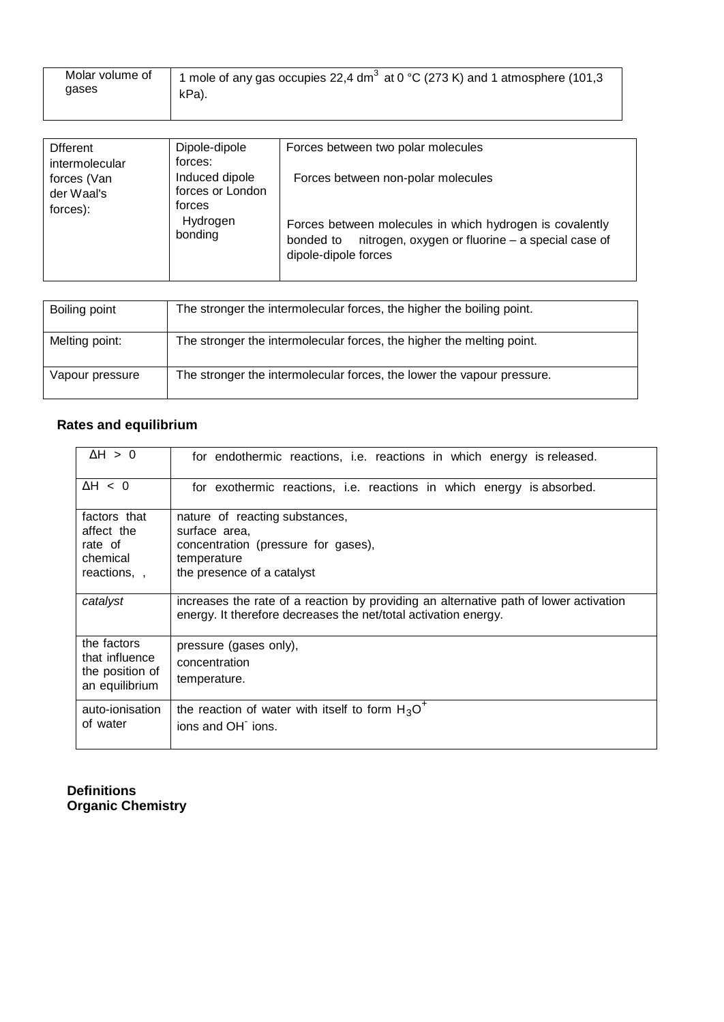| Molar volume of<br>1 mole of any gas occupies 22,4 dm <sup>3</sup> at 0 °C (273 K) and 1 atmosphere (101,3<br>gases<br>kPa). |  |
|------------------------------------------------------------------------------------------------------------------------------|--|
|                                                                                                                              |  |

| <b>D</b> fferent<br>intermolecular    | Dipole-dipole<br>forces:                     | Forces between two polar molecules                                                                                                                |
|---------------------------------------|----------------------------------------------|---------------------------------------------------------------------------------------------------------------------------------------------------|
| forces (Van<br>der Waal's<br>forces): | Induced dipole<br>forces or London<br>forces | Forces between non-polar molecules                                                                                                                |
|                                       | Hydrogen<br>bonding                          | Forces between molecules in which hydrogen is covalently<br>nitrogen, oxygen or fluorine - a special case of<br>bonded to<br>dipole-dipole forces |

| Boiling point   | The stronger the intermolecular forces, the higher the boiling point.  |
|-----------------|------------------------------------------------------------------------|
| Melting point:  | The stronger the intermolecular forces, the higher the melting point.  |
| Vapour pressure | The stronger the intermolecular forces, the lower the vapour pressure. |

# **Rates and equilibrium**

| $\Delta H > 0$                                                     | for endothermic reactions, i.e. reactions in which energy is released.                                                                                   |
|--------------------------------------------------------------------|----------------------------------------------------------------------------------------------------------------------------------------------------------|
| $\Delta H$ < 0                                                     | for exothermic reactions, i.e. reactions in which energy is absorbed.                                                                                    |
| factors that<br>affect the<br>rate of<br>chemical<br>reactions, ,  | nature of reacting substances,<br>surface area,<br>concentration (pressure for gases),<br>temperature<br>the presence of a catalyst                      |
| catalyst                                                           | increases the rate of a reaction by providing an alternative path of lower activation<br>energy. It therefore decreases the net/total activation energy. |
| the factors<br>that influence<br>the position of<br>an equilibrium | pressure (gases only),<br>concentration<br>temperature.                                                                                                  |
| auto-ionisation<br>of water                                        | the reaction of water with itself to form $H_3O^+$<br>ions and OH ions.                                                                                  |

#### **Definitions Organic Chemistry**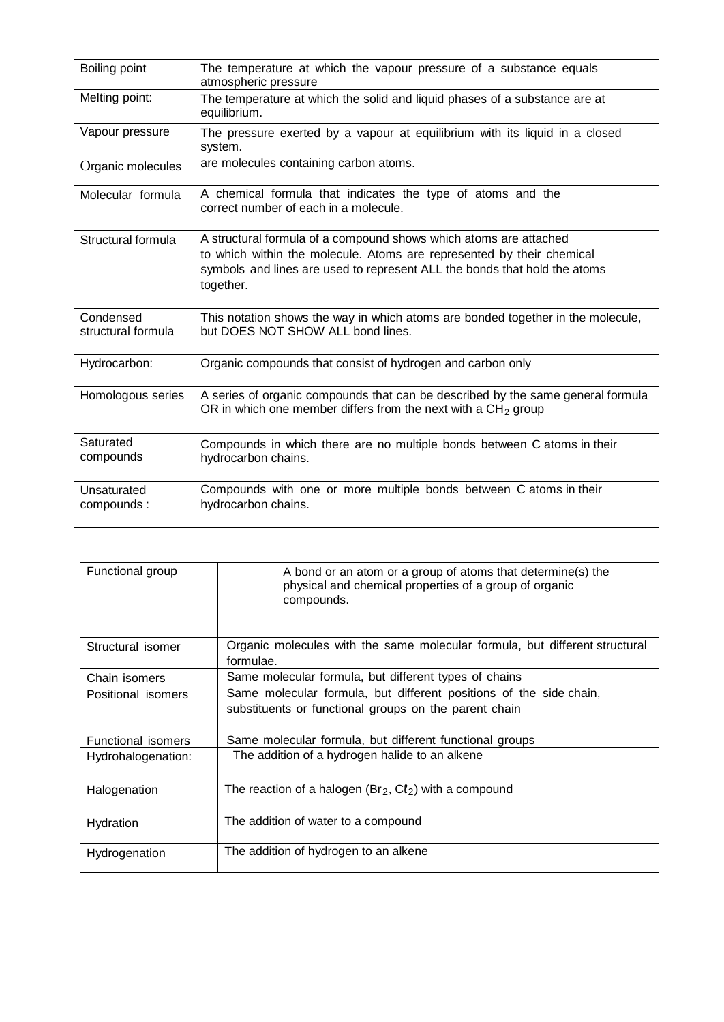| Boiling point                   | The temperature at which the vapour pressure of a substance equals<br>atmospheric pressure                                                                                                                                           |  |  |  |  |
|---------------------------------|--------------------------------------------------------------------------------------------------------------------------------------------------------------------------------------------------------------------------------------|--|--|--|--|
| Melting point:                  | The temperature at which the solid and liquid phases of a substance are at<br>equilibrium.                                                                                                                                           |  |  |  |  |
| Vapour pressure                 | The pressure exerted by a vapour at equilibrium with its liquid in a closed<br>system.                                                                                                                                               |  |  |  |  |
| Organic molecules               | are molecules containing carbon atoms.                                                                                                                                                                                               |  |  |  |  |
| Molecular formula               | A chemical formula that indicates the type of atoms and the<br>correct number of each in a molecule.                                                                                                                                 |  |  |  |  |
| Structural formula              | A structural formula of a compound shows which atoms are attached<br>to which within the molecule. Atoms are represented by their chemical<br>symbols and lines are used to represent ALL the bonds that hold the atoms<br>together. |  |  |  |  |
| Condensed<br>structural formula | This notation shows the way in which atoms are bonded together in the molecule,<br>but DOES NOT SHOW ALL bond lines.                                                                                                                 |  |  |  |  |
| Hydrocarbon:                    | Organic compounds that consist of hydrogen and carbon only                                                                                                                                                                           |  |  |  |  |
| Homologous series               | A series of organic compounds that can be described by the same general formula<br>OR in which one member differs from the next with a $CH2$ group                                                                                   |  |  |  |  |
| Saturated<br>compounds          | Compounds in which there are no multiple bonds between C atoms in their<br>hydrocarbon chains.                                                                                                                                       |  |  |  |  |
| Unsaturated<br>compounds:       | Compounds with one or more multiple bonds between C atoms in their<br>hydrocarbon chains.                                                                                                                                            |  |  |  |  |

| Functional group          | A bond or an atom or a group of atoms that determine(s) the<br>physical and chemical properties of a group of organic<br>compounds. |
|---------------------------|-------------------------------------------------------------------------------------------------------------------------------------|
| Structural isomer         | Organic molecules with the same molecular formula, but different structural<br>formulae.                                            |
| Chain isomers             | Same molecular formula, but different types of chains                                                                               |
| Positional isomers        | Same molecular formula, but different positions of the side chain,<br>substituents or functional groups on the parent chain         |
| <b>Functional isomers</b> | Same molecular formula, but different functional groups                                                                             |
| Hydrohalogenation:        | The addition of a hydrogen halide to an alkene                                                                                      |
| Halogenation              | The reaction of a halogen ( $Br_2$ , $Cl_2$ ) with a compound                                                                       |
| Hydration                 | The addition of water to a compound                                                                                                 |
| Hydrogenation             | The addition of hydrogen to an alkene                                                                                               |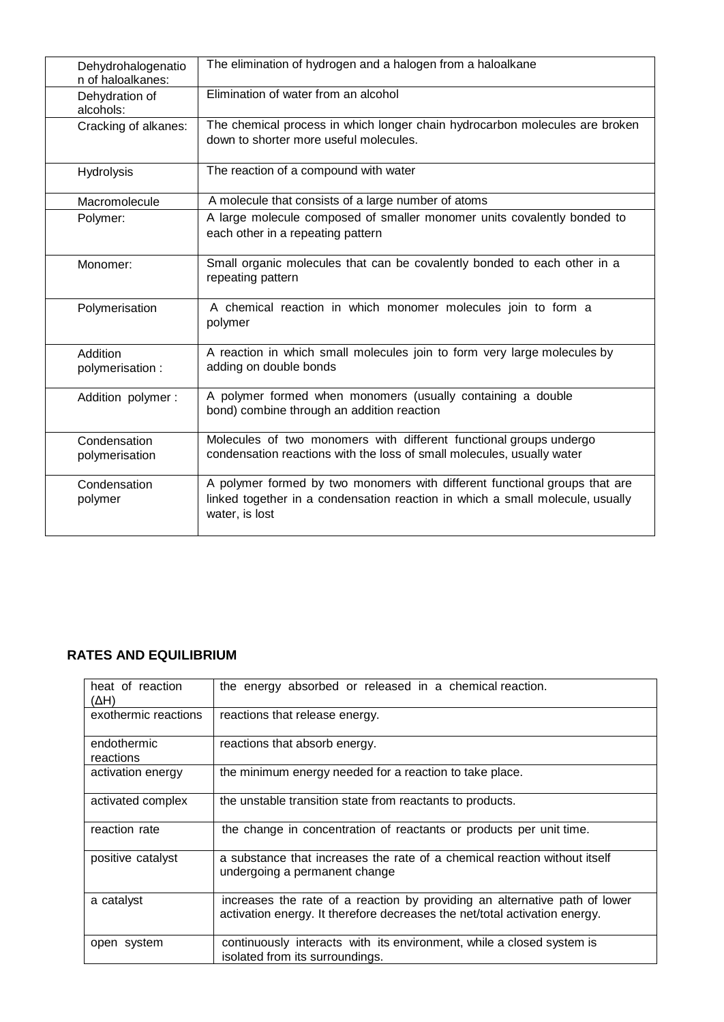| Dehydrohalogenatio<br>n of haloalkanes: | The elimination of hydrogen and a halogen from a haloalkane                                                                                                                   |
|-----------------------------------------|-------------------------------------------------------------------------------------------------------------------------------------------------------------------------------|
| Dehydration of<br>alcohols:             | Elimination of water from an alcohol                                                                                                                                          |
| Cracking of alkanes:                    | The chemical process in which longer chain hydrocarbon molecules are broken<br>down to shorter more useful molecules.                                                         |
| Hydrolysis                              | The reaction of a compound with water                                                                                                                                         |
| Macromolecule                           | A molecule that consists of a large number of atoms                                                                                                                           |
| Polymer:                                | A large molecule composed of smaller monomer units covalently bonded to<br>each other in a repeating pattern                                                                  |
| Monomer:                                | Small organic molecules that can be covalently bonded to each other in a<br>repeating pattern                                                                                 |
| Polymerisation                          | A chemical reaction in which monomer molecules join to form a<br>polymer                                                                                                      |
| Addition<br>polymerisation :            | A reaction in which small molecules join to form very large molecules by<br>adding on double bonds                                                                            |
| Addition polymer:                       | A polymer formed when monomers (usually containing a double<br>bond) combine through an addition reaction                                                                     |
| Condensation<br>polymerisation          | Molecules of two monomers with different functional groups undergo<br>condensation reactions with the loss of small molecules, usually water                                  |
| Condensation<br>polymer                 | A polymer formed by two monomers with different functional groups that are<br>linked together in a condensation reaction in which a small molecule, usually<br>water, is lost |

## **RATES AND EQUILIBRIUM**

| heat of reaction<br>(ΔH) | the energy absorbed or released in a chemical reaction.                                                                                                  |  |  |  |  |
|--------------------------|----------------------------------------------------------------------------------------------------------------------------------------------------------|--|--|--|--|
| exothermic reactions     | reactions that release energy.                                                                                                                           |  |  |  |  |
| endothermic<br>reactions | reactions that absorb energy.                                                                                                                            |  |  |  |  |
| activation energy        | the minimum energy needed for a reaction to take place.                                                                                                  |  |  |  |  |
| activated complex        | the unstable transition state from reactants to products.                                                                                                |  |  |  |  |
| reaction rate            | the change in concentration of reactants or products per unit time.                                                                                      |  |  |  |  |
| positive catalyst        | a substance that increases the rate of a chemical reaction without itself<br>undergoing a permanent change                                               |  |  |  |  |
| a catalyst               | increases the rate of a reaction by providing an alternative path of lower<br>activation energy. It therefore decreases the net/total activation energy. |  |  |  |  |
| open system              | continuously interacts with its environment, while a closed system is<br>isolated from its surroundings.                                                 |  |  |  |  |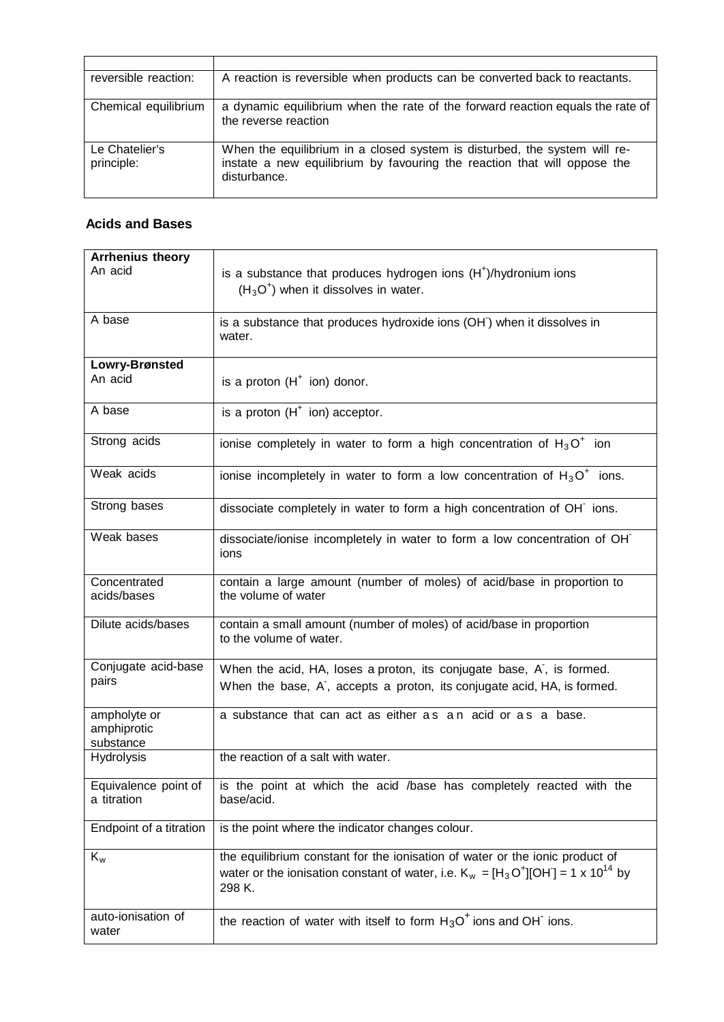| reversible reaction:         | A reaction is reversible when products can be converted back to reactants.                                                                                            |
|------------------------------|-----------------------------------------------------------------------------------------------------------------------------------------------------------------------|
| Chemical equilibrium         | a dynamic equilibrium when the rate of the forward reaction equals the rate of<br>the reverse reaction                                                                |
| Le Chatelier's<br>principle: | When the equilibrium in a closed system is disturbed, the system will re-<br>instate a new equilibrium by favouring the reaction that will oppose the<br>disturbance. |

#### **Acids and Bases**

| <b>Arrhenius theory</b> |                                                                                            |  |  |  |
|-------------------------|--------------------------------------------------------------------------------------------|--|--|--|
| An acid                 | is a substance that produces hydrogen ions $(H+)/$ hydronium ions                          |  |  |  |
|                         | $(H3O+)$ when it dissolves in water.                                                       |  |  |  |
|                         |                                                                                            |  |  |  |
| A base                  | is a substance that produces hydroxide ions (OH) when it dissolves in                      |  |  |  |
|                         | water.                                                                                     |  |  |  |
| Lowry-Brønsted          |                                                                                            |  |  |  |
| An acid                 | is a proton $(H^+$ ion) donor.                                                             |  |  |  |
|                         |                                                                                            |  |  |  |
| A base                  | is a proton $(H^+$ ion) acceptor.                                                          |  |  |  |
|                         |                                                                                            |  |  |  |
| Strong acids            | ionise completely in water to form a high concentration of $H_3O^+$ ion                    |  |  |  |
| Weak acids              | ionise incompletely in water to form a low concentration of $H_3O^+$ ions.                 |  |  |  |
|                         |                                                                                            |  |  |  |
| Strong bases            | dissociate completely in water to form a high concentration of OH ions.                    |  |  |  |
|                         |                                                                                            |  |  |  |
| Weak bases              | dissociate/ionise incompletely in water to form a low concentration of OH                  |  |  |  |
|                         | ions                                                                                       |  |  |  |
| Concentrated            | contain a large amount (number of moles) of acid/base in proportion to                     |  |  |  |
| acids/bases             | the volume of water                                                                        |  |  |  |
|                         |                                                                                            |  |  |  |
| Dilute acids/bases      | contain a small amount (number of moles) of acid/base in proportion                        |  |  |  |
|                         | to the volume of water.                                                                    |  |  |  |
| Conjugate acid-base     |                                                                                            |  |  |  |
| pairs                   | When the acid, HA, loses a proton, its conjugate base, A, is formed.                       |  |  |  |
|                         | When the base, A, accepts a proton, its conjugate acid, HA, is formed.                     |  |  |  |
| ampholyte or            | a substance that can act as either as an acid or as a base.                                |  |  |  |
| amphiprotic             |                                                                                            |  |  |  |
| substance               |                                                                                            |  |  |  |
| <b>Hydrolysis</b>       | the reaction of a salt with water.                                                         |  |  |  |
| Equivalence point of    | is the point at which the acid /base has completely reacted with the                       |  |  |  |
| a titration             | base/acid.                                                                                 |  |  |  |
|                         |                                                                                            |  |  |  |
| Endpoint of a titration | is the point where the indicator changes colour.                                           |  |  |  |
| $K_w$                   | the equilibrium constant for the ionisation of water or the ionic product of               |  |  |  |
|                         | water or the ionisation constant of water, i.e. $K_w = [H_3O^+][OH] = 1 \times 10^{14}$ by |  |  |  |
|                         | 298 K.                                                                                     |  |  |  |
|                         |                                                                                            |  |  |  |
| auto-ionisation of      | the reaction of water with itself to form $H_3O^+$ ions and OH ions.                       |  |  |  |
| water                   |                                                                                            |  |  |  |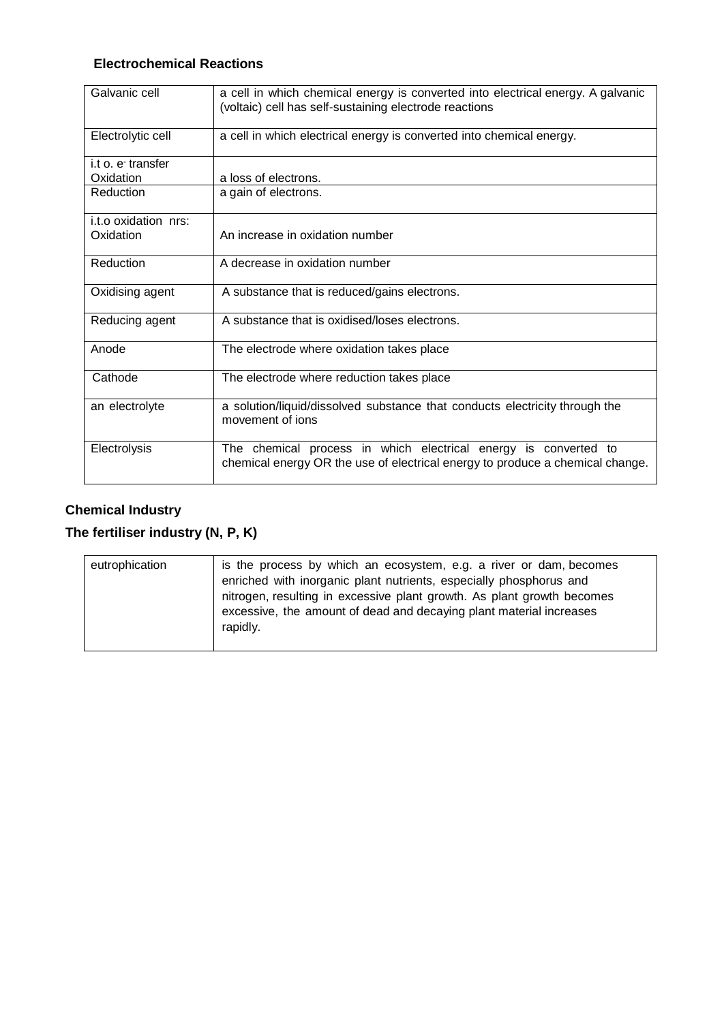## **Electrochemical Reactions**

| Galvanic cell        | a cell in which chemical energy is converted into electrical energy. A galvanic<br>(voltaic) cell has self-sustaining electrode reactions        |  |  |  |  |
|----------------------|--------------------------------------------------------------------------------------------------------------------------------------------------|--|--|--|--|
| Electrolytic cell    | a cell in which electrical energy is converted into chemical energy.                                                                             |  |  |  |  |
| i.t o. e transfer    |                                                                                                                                                  |  |  |  |  |
| Oxidation            | a loss of electrons.                                                                                                                             |  |  |  |  |
| Reduction            | a gain of electrons.                                                                                                                             |  |  |  |  |
| i.t.o oxidation nrs: |                                                                                                                                                  |  |  |  |  |
| Oxidation            | An increase in oxidation number                                                                                                                  |  |  |  |  |
| Reduction            | A decrease in oxidation number                                                                                                                   |  |  |  |  |
| Oxidising agent      | A substance that is reduced/gains electrons.                                                                                                     |  |  |  |  |
| Reducing agent       | A substance that is oxidised/loses electrons.                                                                                                    |  |  |  |  |
| Anode                | The electrode where oxidation takes place                                                                                                        |  |  |  |  |
| Cathode              | The electrode where reduction takes place                                                                                                        |  |  |  |  |
| an electrolyte       | a solution/liquid/dissolved substance that conducts electricity through the<br>movement of jons                                                  |  |  |  |  |
| Electrolysis         | The chemical process in which electrical energy is converted to<br>chemical energy OR the use of electrical energy to produce a chemical change. |  |  |  |  |

### **Chemical Industry**

# **The fertiliser industry (N, P, K)**

| eutrophication | is the process by which an ecosystem, e.g. a river or dam, becomes<br>enriched with inorganic plant nutrients, especially phosphorus and<br>nitrogen, resulting in excessive plant growth. As plant growth becomes<br>excessive, the amount of dead and decaying plant material increases<br>rapidly. |
|----------------|-------------------------------------------------------------------------------------------------------------------------------------------------------------------------------------------------------------------------------------------------------------------------------------------------------|
|----------------|-------------------------------------------------------------------------------------------------------------------------------------------------------------------------------------------------------------------------------------------------------------------------------------------------------|